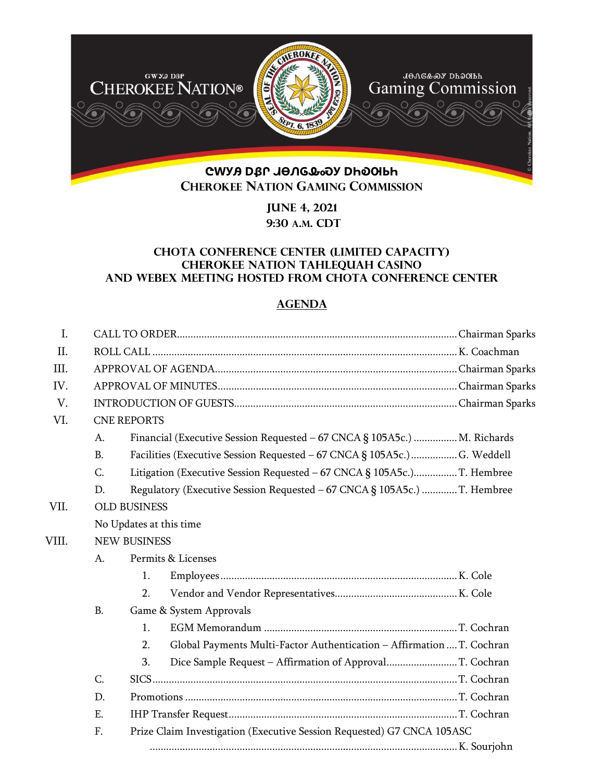

**June 4, 2021 9:30 A.M. CDT** 

## **Chota Conference Center (limited Capacity) CHEROKEE NATION Tahlequah CASINO and webex meeting hosted from Chota Conference Center**

# **AGENDA**

| $\mathbf{I}$ . |                                                                              |                                                                          |                                                                          |  |  |  |
|----------------|------------------------------------------------------------------------------|--------------------------------------------------------------------------|--------------------------------------------------------------------------|--|--|--|
| II.            |                                                                              |                                                                          |                                                                          |  |  |  |
| III.           |                                                                              |                                                                          |                                                                          |  |  |  |
| IV.            |                                                                              |                                                                          |                                                                          |  |  |  |
| V.             |                                                                              |                                                                          |                                                                          |  |  |  |
| VI.            | <b>CNE REPORTS</b>                                                           |                                                                          |                                                                          |  |  |  |
|                | А.                                                                           | Financial (Executive Session Requested – 67 CNCA § 105A5c.)  M. Richards |                                                                          |  |  |  |
|                | <b>B.</b>                                                                    |                                                                          | Facilities (Executive Session Requested - 67 CNCA § 105A5c.)  G. Weddell |  |  |  |
|                | C.                                                                           |                                                                          | Litigation (Executive Session Requested - 67 CNCA § 105A5c.)T. Hembree   |  |  |  |
|                | D.                                                                           |                                                                          | Regulatory (Executive Session Requested - 67 CNCA § 105A5c.) T. Hembree  |  |  |  |
| VII.           |                                                                              | <b>OLD BUSINESS</b>                                                      |                                                                          |  |  |  |
|                |                                                                              | No Updates at this time                                                  |                                                                          |  |  |  |
| VIII.          |                                                                              | <b>NEW BUSINESS</b>                                                      |                                                                          |  |  |  |
|                | A.                                                                           |                                                                          | Permits & Licenses                                                       |  |  |  |
|                |                                                                              | 1.                                                                       |                                                                          |  |  |  |
|                |                                                                              | 2.                                                                       |                                                                          |  |  |  |
|                | <b>B.</b>                                                                    |                                                                          | Game & System Approvals                                                  |  |  |  |
|                |                                                                              | 1.                                                                       |                                                                          |  |  |  |
|                |                                                                              | 2.                                                                       | Global Payments Multi-Factor Authentication - Affirmation  T. Cochran    |  |  |  |
|                |                                                                              | 3.                                                                       | Dice Sample Request - Affirmation of ApprovalT. Cochran                  |  |  |  |
|                | C.                                                                           |                                                                          |                                                                          |  |  |  |
|                | D.                                                                           |                                                                          |                                                                          |  |  |  |
|                | Ε.                                                                           |                                                                          |                                                                          |  |  |  |
|                | F.<br>Prize Claim Investigation (Executive Session Requested) G7 CNCA 105ASC |                                                                          |                                                                          |  |  |  |
|                |                                                                              |                                                                          |                                                                          |  |  |  |